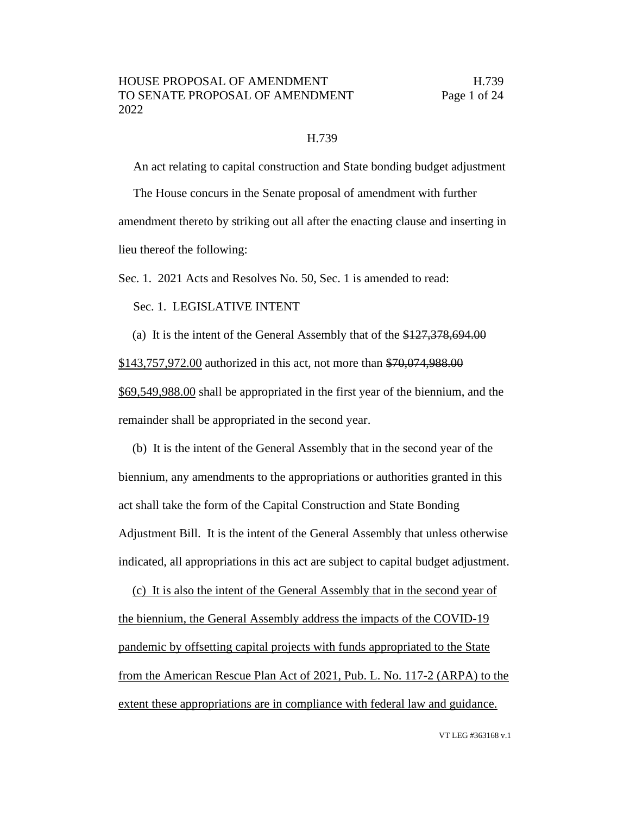### H.739

An act relating to capital construction and State bonding budget adjustment The House concurs in the Senate proposal of amendment with further amendment thereto by striking out all after the enacting clause and inserting in lieu thereof the following:

Sec. 1. 2021 Acts and Resolves No. 50, Sec. 1 is amended to read:

Sec. 1. LEGISLATIVE INTENT

(a) It is the intent of the General Assembly that of the  $\frac{$127,378,694.00}{1000}$ \$143,757,972.00 authorized in this act, not more than \$70,074,988.00 \$69,549,988.00 shall be appropriated in the first year of the biennium, and the remainder shall be appropriated in the second year.

(b) It is the intent of the General Assembly that in the second year of the biennium, any amendments to the appropriations or authorities granted in this act shall take the form of the Capital Construction and State Bonding Adjustment Bill. It is the intent of the General Assembly that unless otherwise indicated, all appropriations in this act are subject to capital budget adjustment.

(c) It is also the intent of the General Assembly that in the second year of the biennium, the General Assembly address the impacts of the COVID-19 pandemic by offsetting capital projects with funds appropriated to the State from the American Rescue Plan Act of 2021, Pub. L. No. 117-2 (ARPA) to the extent these appropriations are in compliance with federal law and guidance.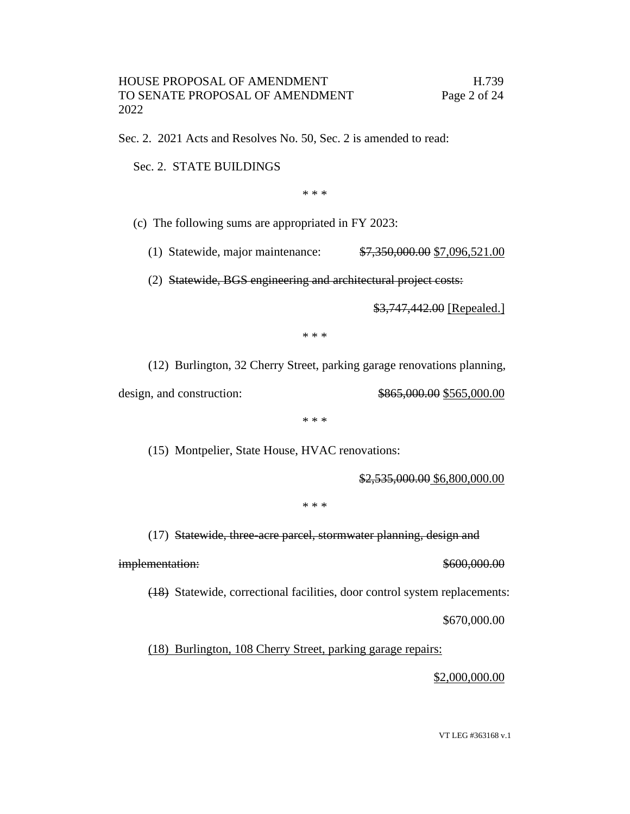Sec. 2. 2021 Acts and Resolves No. 50, Sec. 2 is amended to read:

Sec. 2. STATE BUILDINGS

\* \* \*

(c) The following sums are appropriated in FY 2023:

(1) Statewide, major maintenance: \$7,350,000.00 \$7,096,521.00

(2) Statewide, BGS engineering and architectural project costs:

\$3,747,442.00 [Repealed.]

\* \* \*

(12) Burlington, 32 Cherry Street, parking garage renovations planning,

design, and construction:  $\frac{$865,000.00}{$565,000.00}$ 

\* \* \*

(15) Montpelier, State House, HVAC renovations:

\$2,535,000.00 \$6,800,000.00

\* \* \*

(17) Statewide, three-acre parcel, stormwater planning, design and

implementation:  $$600,000.00$ 

(18) Statewide, correctional facilities, door control system replacements:

\$670,000.00

(18) Burlington, 108 Cherry Street, parking garage repairs:

\$2,000,000.00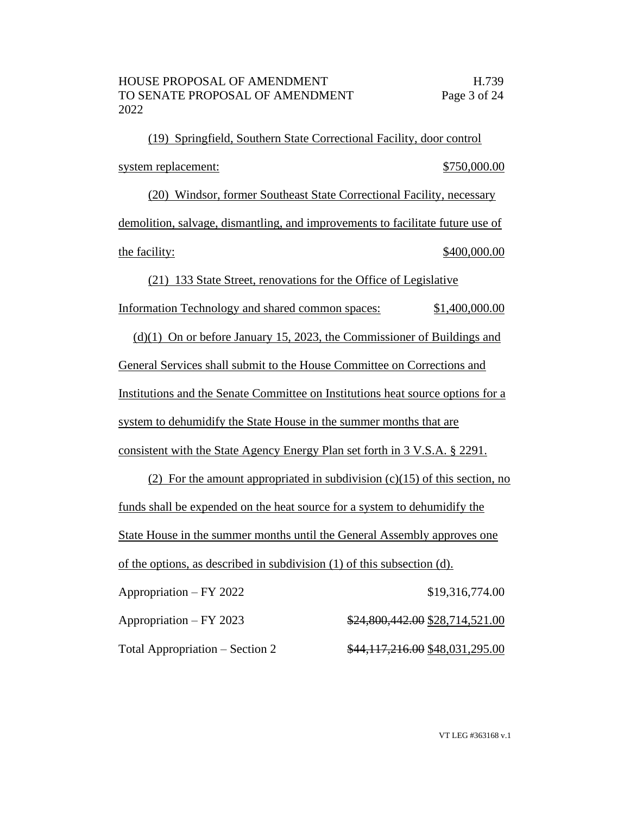(19) Springfield, Southern State Correctional Facility, door control system replacement:  $$750,000.00$ (20) Windsor, former Southeast State Correctional Facility, necessary demolition, salvage, dismantling, and improvements to facilitate future use of the facility:  $$400,000.00$ 

(21) 133 State Street, renovations for the Office of Legislative Information Technology and shared common spaces: \$1,400,000.00 (d)(1) On or before January 15, 2023, the Commissioner of Buildings and General Services shall submit to the House Committee on Corrections and Institutions and the Senate Committee on Institutions heat source options for a system to dehumidify the State House in the summer months that are

consistent with the State Agency Energy Plan set forth in 3 V.S.A. § 2291.

(2) For the amount appropriated in subdivision  $(c)(15)$  of this section, no funds shall be expended on the heat source for a system to dehumidify the State House in the summer months until the General Assembly approves one of the options, as described in subdivision (1) of this subsection (d).

Appropriation – FY 2022 \$19,316,774.00 Appropriation – FY 2023 \$24,800,442.00 \$28,714,521.00 Total Appropriation – Section 2 \$44,117,216.00 \$48,031,295.00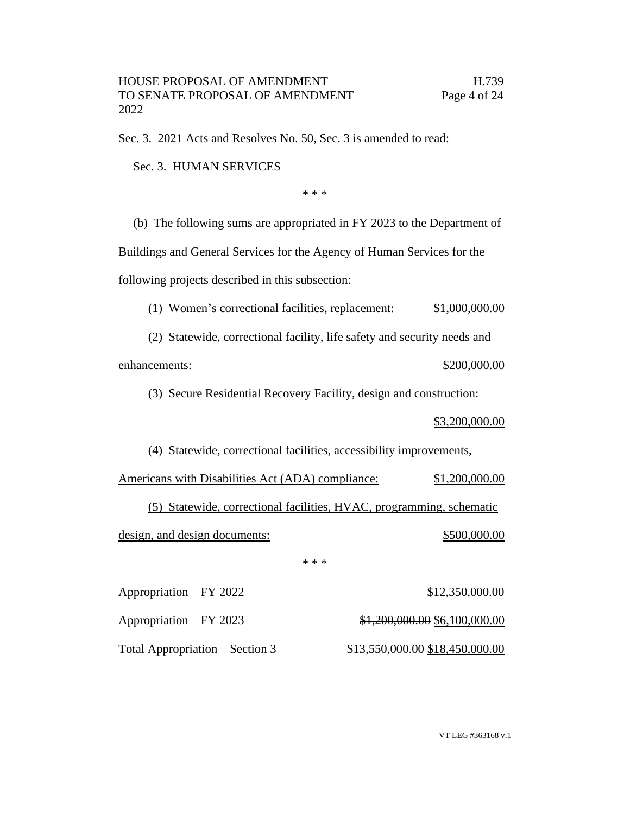Sec. 3. 2021 Acts and Resolves No. 50, Sec. 3 is amended to read:

Sec. 3. HUMAN SERVICES

\* \* \*

(b) The following sums are appropriated in FY 2023 to the Department of

Buildings and General Services for the Agency of Human Services for the

following projects described in this subsection:

(1) Women's correctional facilities, replacement: \$1,000,000.00

(2) Statewide, correctional facility, life safety and security needs and enhancements:  $$200,000.00$ 

(3) Secure Residential Recovery Facility, design and construction:

\$3,200,000.00

(4) Statewide, correctional facilities, accessibility improvements,

Americans with Disabilities Act (ADA) compliance: \$1,200,000.00 (5) Statewide, correctional facilities, HVAC, programming, schematic design, and design documents:  $$500,000.00$ \* \* \*

Appropriation – FY 2022 \$12,350,000.00

Appropriation – FY 2023 \$1,200,000.00 \$6,100,000.00

Total Appropriation – Section 3  $$13,550,000.00 \$18,450,000.00$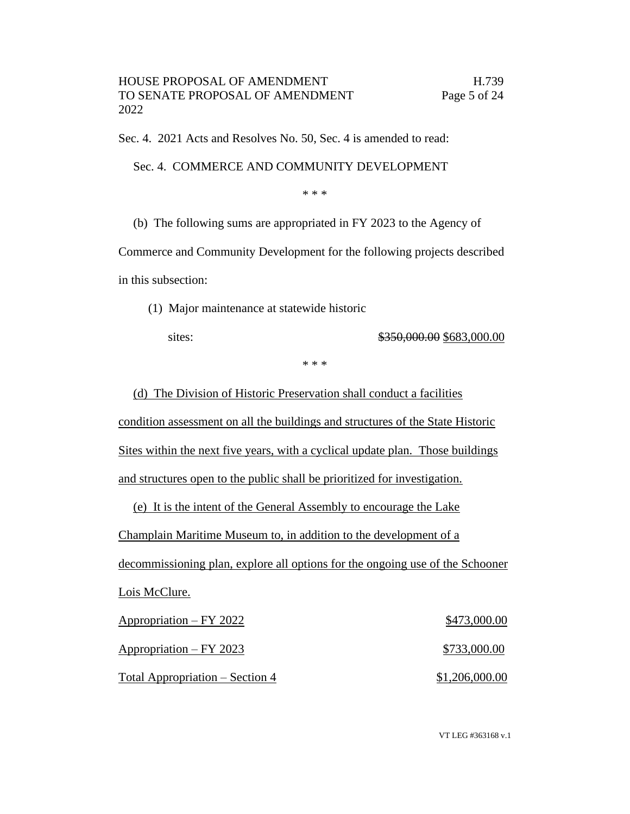Sec. 4. 2021 Acts and Resolves No. 50, Sec. 4 is amended to read:

Sec. 4. COMMERCE AND COMMUNITY DEVELOPMENT

\* \* \*

(b) The following sums are appropriated in FY 2023 to the Agency of

Commerce and Community Development for the following projects described in this subsection:

(1) Major maintenance at statewide historic

sites: \$350,000.00 \$683,000.00

\* \* \*

(d) The Division of Historic Preservation shall conduct a facilities condition assessment on all the buildings and structures of the State Historic Sites within the next five years, with a cyclical update plan. Those buildings and structures open to the public shall be prioritized for investigation.

(e) It is the intent of the General Assembly to encourage the Lake Champlain Maritime Museum to, in addition to the development of a decommissioning plan, explore all options for the ongoing use of the Schooner Lois McClure. Appropriation – FY 2022 \$473,000.00 Appropriation – FY 2023 \$733,000.00

Total Appropriation – Section 4  $$1,206,000.00$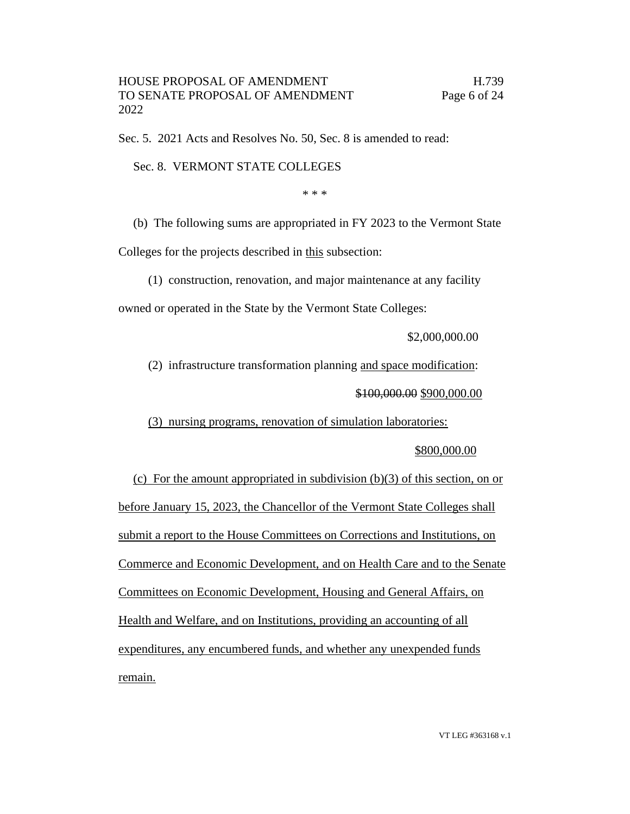Sec. 5. 2021 Acts and Resolves No. 50, Sec. 8 is amended to read:

Sec. 8. VERMONT STATE COLLEGES

\* \* \*

(b) The following sums are appropriated in FY 2023 to the Vermont State

Colleges for the projects described in this subsection:

(1) construction, renovation, and major maintenance at any facility

owned or operated in the State by the Vermont State Colleges:

\$2,000,000.00

(2) infrastructure transformation planning and space modification:

\$100,000.00 \$900,000.00

(3) nursing programs, renovation of simulation laboratories:

# \$800,000.00

(c) For the amount appropriated in subdivision (b)(3) of this section, on or before January 15, 2023, the Chancellor of the Vermont State Colleges shall submit a report to the House Committees on Corrections and Institutions, on Commerce and Economic Development, and on Health Care and to the Senate Committees on Economic Development, Housing and General Affairs, on Health and Welfare, and on Institutions, providing an accounting of all expenditures, any encumbered funds, and whether any unexpended funds remain.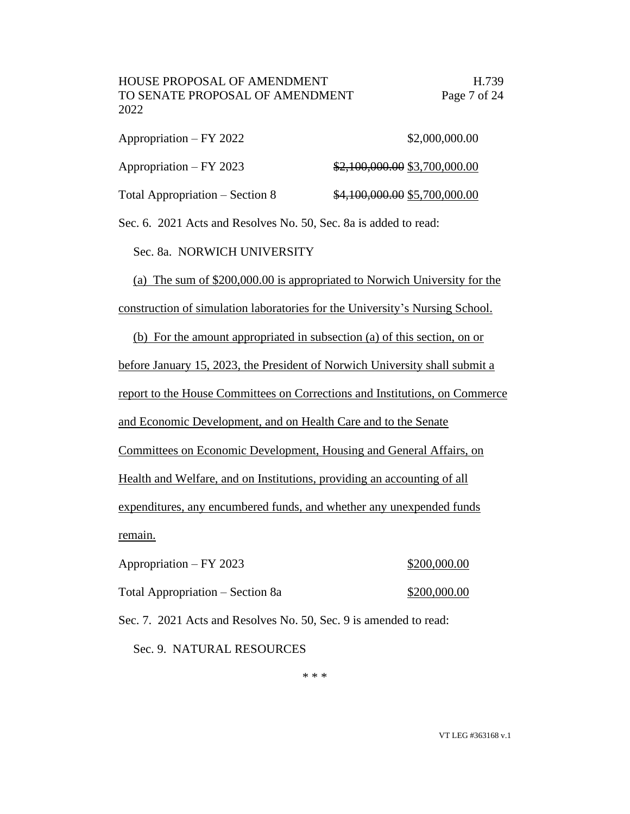| Appropriation – FY 2022         | \$2,000,000.00                |
|---------------------------------|-------------------------------|
| Appropriation – FY 2023         | \$2,100,000.00 \$3,700,000.00 |
| Total Appropriation – Section 8 | \$4,100,000.00 \$5,700,000.00 |

Sec. 6. 2021 Acts and Resolves No. 50, Sec. 8a is added to read:

Sec. 8a. NORWICH UNIVERSITY

(a) The sum of \$200,000.00 is appropriated to Norwich University for the construction of simulation laboratories for the University's Nursing School.

(b) For the amount appropriated in subsection (a) of this section, on or

before January 15, 2023, the President of Norwich University shall submit a

report to the House Committees on Corrections and Institutions, on Commerce

and Economic Development, and on Health Care and to the Senate

Committees on Economic Development, Housing and General Affairs, on

Health and Welfare, and on Institutions, providing an accounting of all

expenditures, any encumbered funds, and whether any unexpended funds remain.

| Appropriation – FY 2023          | \$200,000.00 |
|----------------------------------|--------------|
| Total Appropriation – Section 8a | \$200,000.00 |

Sec. 7. 2021 Acts and Resolves No. 50, Sec. 9 is amended to read:

Sec. 9. NATURAL RESOURCES

\* \* \*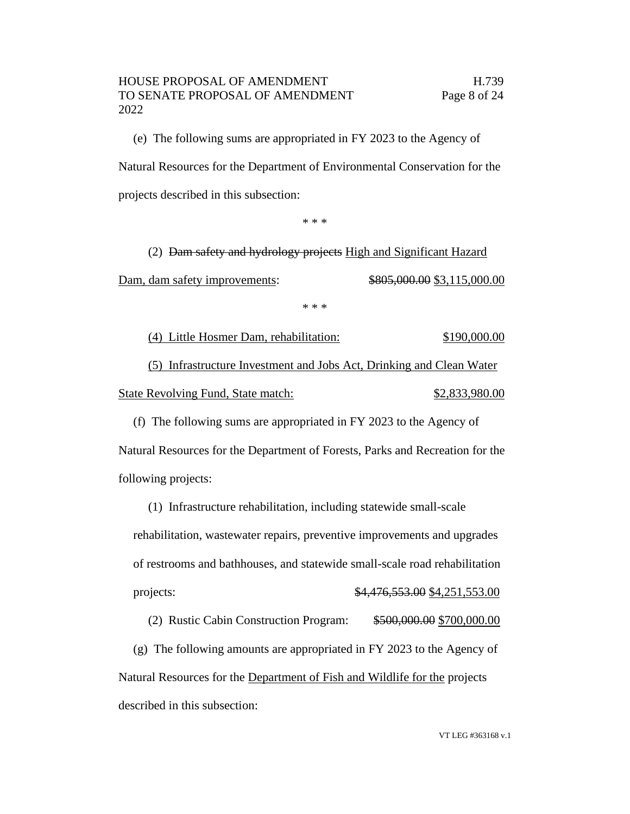(e) The following sums are appropriated in FY 2023 to the Agency of Natural Resources for the Department of Environmental Conservation for the projects described in this subsection:

\* \* \*

(2) Dam safety and hydrology projects High and Significant Hazard

Dam, dam safety improvements:  $\frac{$805,000.00}{$3,115,000.00}$ 

\* \* \*

(4) Little Hosmer Dam, rehabilitation: \$190,000.00 (5) Infrastructure Investment and Jobs Act, Drinking and Clean Water State Revolving Fund, State match:  $$2,833,980.00$ 

(f) The following sums are appropriated in FY 2023 to the Agency of Natural Resources for the Department of Forests, Parks and Recreation for the following projects:

(1) Infrastructure rehabilitation, including statewide small-scale rehabilitation, wastewater repairs, preventive improvements and upgrades of restrooms and bathhouses, and statewide small-scale road rehabilitation projects: \$4,476,553.00 \$4,251,553.00

(2) Rustic Cabin Construction Program: \$500,000.00 \$700,000.00

(g) The following amounts are appropriated in FY 2023 to the Agency of Natural Resources for the Department of Fish and Wildlife for the projects described in this subsection: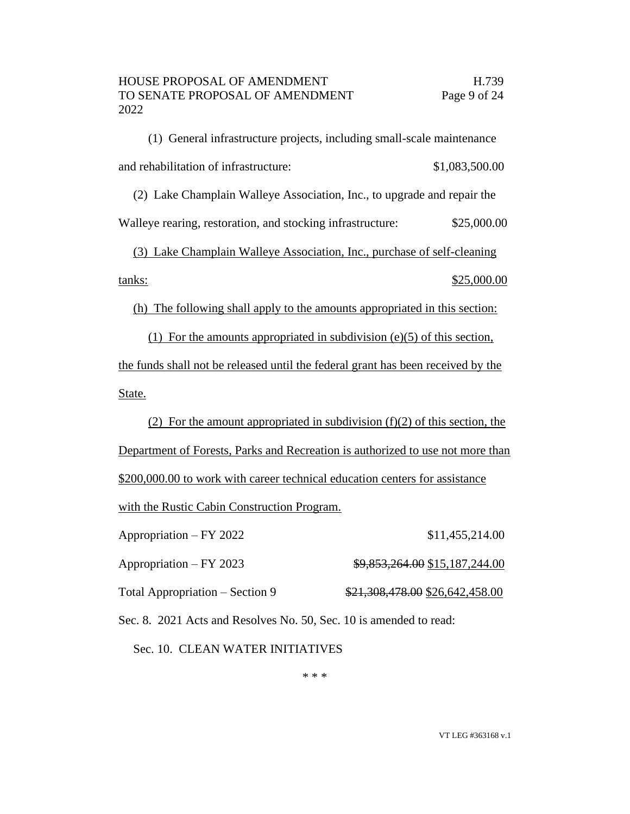(1) General infrastructure projects, including small-scale maintenance and rehabilitation of infrastructure:  $$1,083,500.00$ 

(2) Lake Champlain Walleye Association, Inc., to upgrade and repair the

Walleye rearing, restoration, and stocking infrastructure: \$25,000.00

(3) Lake Champlain Walleye Association, Inc., purchase of self-cleaning tanks: \$25,000.00

(h) The following shall apply to the amounts appropriated in this section:

(1) For the amounts appropriated in subdivision (e)(5) of this section, the funds shall not be released until the federal grant has been received by the State.

(2) For the amount appropriated in subdivision  $(f)(2)$  of this section, the Department of Forests, Parks and Recreation is authorized to use not more than \$200,000.00 to work with career technical education centers for assistance with the Rustic Cabin Construction Program.

Appropriation – FY 2022 \$11,455,214.00 Appropriation – FY 2023  $\qquad\qquad\qquad\qquad$  \$9,853,264.00 \$15,187,244.00 Total Appropriation – Section 9  $\frac{$21,308,478.00}{$24,308,478.00}$ 

Sec. 8. 2021 Acts and Resolves No. 50, Sec. 10 is amended to read:

Sec. 10. CLEAN WATER INITIATIVES

\* \* \*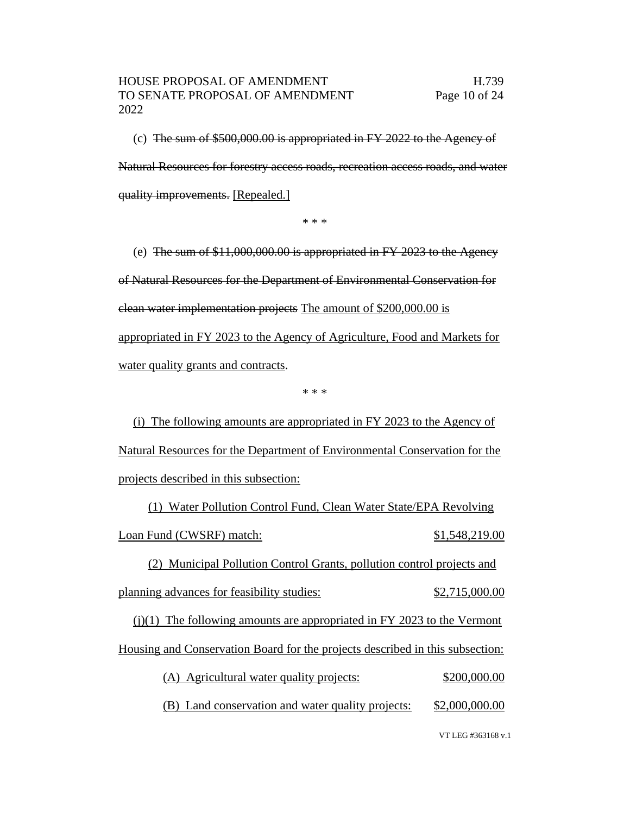(c) The sum of \$500,000.00 is appropriated in FY 2022 to the Agency of Natural Resources for forestry access roads, recreation access roads, and water quality improvements. [Repealed.]

\* \* \*

(e) The sum of \$11,000,000.00 is appropriated in FY 2023 to the Agency of Natural Resources for the Department of Environmental Conservation for clean water implementation projects The amount of \$200,000.00 is appropriated in FY 2023 to the Agency of Agriculture, Food and Markets for water quality grants and contracts.

\* \* \*

(i) The following amounts are appropriated in FY 2023 to the Agency of Natural Resources for the Department of Environmental Conservation for the projects described in this subsection:

(1) Water Pollution Control Fund, Clean Water State/EPA Revolving Loan Fund (CWSRF) match: \$1,548,219.00

(2) Municipal Pollution Control Grants, pollution control projects and planning advances for feasibility studies: \$2,715,000.00

 $(j)(1)$  The following amounts are appropriated in FY 2023 to the Vermont

Housing and Conservation Board for the projects described in this subsection:

| (A) Agricultural water quality projects: |  | \$200,000.00 |
|------------------------------------------|--|--------------|
|                                          |  |              |

(B) Land conservation and water quality projects: \$2,000,000.00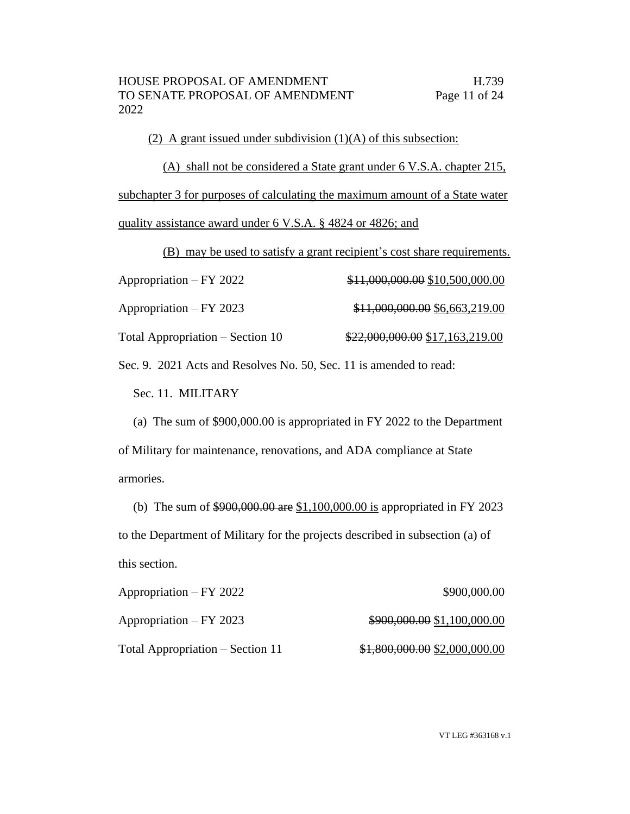(2) A grant issued under subdivision  $(1)(A)$  of this subsection:

(A) shall not be considered a State grant under 6 V.S.A. chapter 215, subchapter 3 for purposes of calculating the maximum amount of a State water quality assistance award under 6 V.S.A. § 4824 or 4826; and

(B) may be used to satisfy a grant recipient's cost share requirements.

| Appropriation – FY 2022          | \$11,000,000.00 \$10,500,000.00  |
|----------------------------------|----------------------------------|
| Appropriation – FY 2023          | \$11,000,000.00 \$6,663,219.00   |
| Total Appropriation – Section 10 | $$22,000,000.00$ \$17,163,219.00 |

Sec. 9. 2021 Acts and Resolves No. 50, Sec. 11 is amended to read:

Sec. 11. MILITARY

(a) The sum of \$900,000.00 is appropriated in FY 2022 to the Department of Military for maintenance, renovations, and ADA compliance at State armories.

(b) The sum of \$900,000.00 are \$1,100,000.00 is appropriated in FY 2023 to the Department of Military for the projects described in subsection (a) of this section.

| Appropriation – FY 2022          | \$900,000.00                  |
|----------------------------------|-------------------------------|
| Appropriation – FY 2023          | \$900,000.00 \$1,100,000.00   |
| Total Appropriation – Section 11 | \$1,800,000.00 \$2,000,000.00 |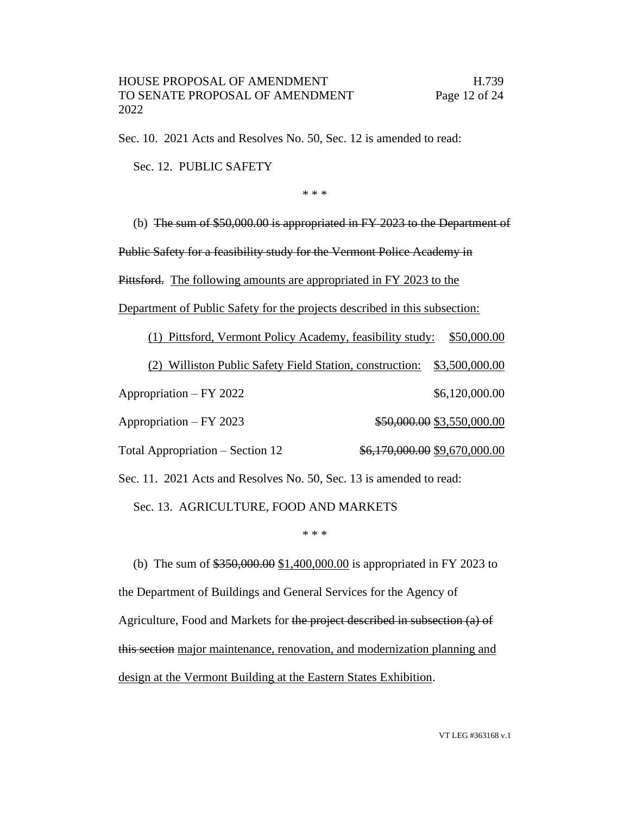Sec. 10. 2021 Acts and Resolves No. 50, Sec. 12 is amended to read:

Sec. 12. PUBLIC SAFETY

\* \* \*

(b) The sum of \$50,000.00 is appropriated in FY 2023 to the Department of

Public Safety for a feasibility study for the Vermont Police Academy in

Pittsford. The following amounts are appropriated in FY 2023 to the

Department of Public Safety for the projects described in this subsection:

(1) Pittsford, Vermont Policy Academy, feasibility study: \$50,000.00 (2) Williston Public Safety Field Station, construction: \$3,500,000.00 Appropriation – FY 2022 \$6,120,000.00 Appropriation – FY 2023 \$50,000.00 \$3,550,000.00 Total Appropriation – Section 12  $\frac{$6,170,000.00}{$9,670,000.00}$ 

Sec. 11. 2021 Acts and Resolves No. 50, Sec. 13 is amended to read:

Sec. 13. AGRICULTURE, FOOD AND MARKETS

#### \* \* \*

(b) The sum of  $$350,000.00 \ $1,400,000.00$  is appropriated in FY 2023 to the Department of Buildings and General Services for the Agency of Agriculture, Food and Markets for the project described in subsection (a) of this section major maintenance, renovation, and modernization planning and design at the Vermont Building at the Eastern States Exhibition.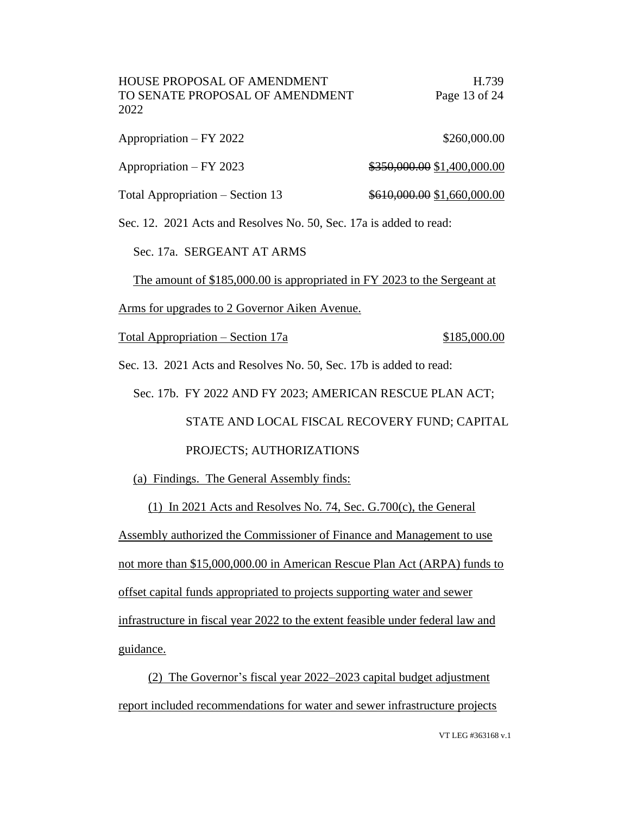| HOUSE PROPOSAL OF AMENDMENT     | H.739         |
|---------------------------------|---------------|
| TO SENATE PROPOSAL OF AMENDMENT | Page 13 of 24 |
| 2022                            |               |

| Appropriation – FY 2022 | \$260,000.00                |
|-------------------------|-----------------------------|
| $Approxation - FY 2023$ | \$350,000.00 \$1,400,000.00 |

Total Appropriation – Section 13  $\frac{$610,000.00}{$1,660,000.00}$ 

Sec. 12. 2021 Acts and Resolves No. 50, Sec. 17a is added to read:

Sec. 17a. SERGEANT AT ARMS

The amount of \$185,000.00 is appropriated in FY 2023 to the Sergeant at

Arms for upgrades to 2 Governor Aiken Avenue.

Total Appropriation – Section 17a \$185,000.00

Sec. 13. 2021 Acts and Resolves No. 50, Sec. 17b is added to read:

Sec. 17b. FY 2022 AND FY 2023; AMERICAN RESCUE PLAN ACT;

 STATE AND LOCAL FISCAL RECOVERY FUND; CAPITAL PROJECTS; AUTHORIZATIONS

(a) Findings. The General Assembly finds:

(1) In 2021 Acts and Resolves No. 74, Sec. G.700(c), the General Assembly authorized the Commissioner of Finance and Management to use not more than \$15,000,000.00 in American Rescue Plan Act (ARPA) funds to offset capital funds appropriated to projects supporting water and sewer infrastructure in fiscal year 2022 to the extent feasible under federal law and guidance.

(2) The Governor's fiscal year 2022–2023 capital budget adjustment report included recommendations for water and sewer infrastructure projects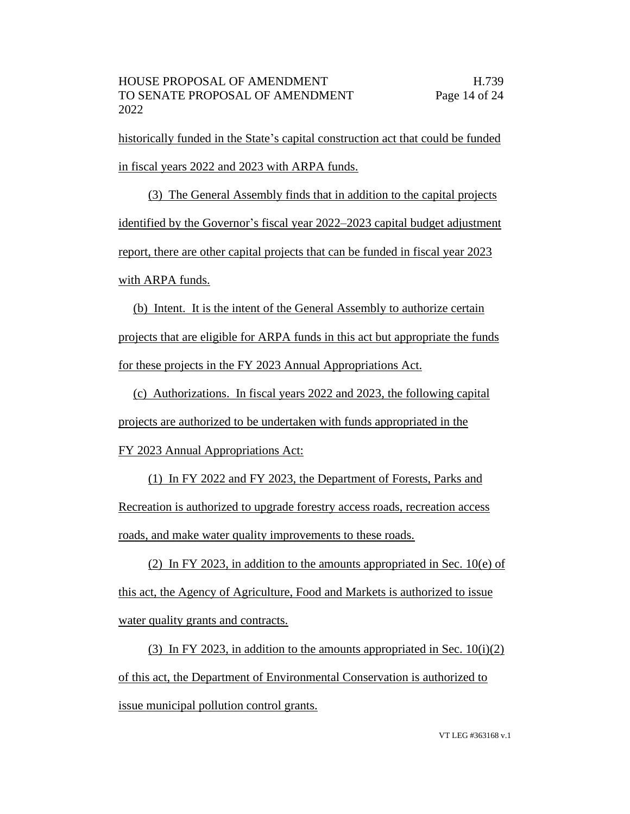historically funded in the State's capital construction act that could be funded in fiscal years 2022 and 2023 with ARPA funds.

(3) The General Assembly finds that in addition to the capital projects identified by the Governor's fiscal year 2022–2023 capital budget adjustment report, there are other capital projects that can be funded in fiscal year 2023 with ARPA funds.

(b) Intent. It is the intent of the General Assembly to authorize certain projects that are eligible for ARPA funds in this act but appropriate the funds for these projects in the FY 2023 Annual Appropriations Act.

(c) Authorizations. In fiscal years 2022 and 2023, the following capital projects are authorized to be undertaken with funds appropriated in the FY 2023 Annual Appropriations Act:

(1) In FY 2022 and FY 2023, the Department of Forests, Parks and Recreation is authorized to upgrade forestry access roads, recreation access roads, and make water quality improvements to these roads.

(2) In FY 2023, in addition to the amounts appropriated in Sec. 10(e) of this act, the Agency of Agriculture, Food and Markets is authorized to issue water quality grants and contracts.

(3) In FY 2023, in addition to the amounts appropriated in Sec.  $10(i)(2)$ of this act, the Department of Environmental Conservation is authorized to issue municipal pollution control grants.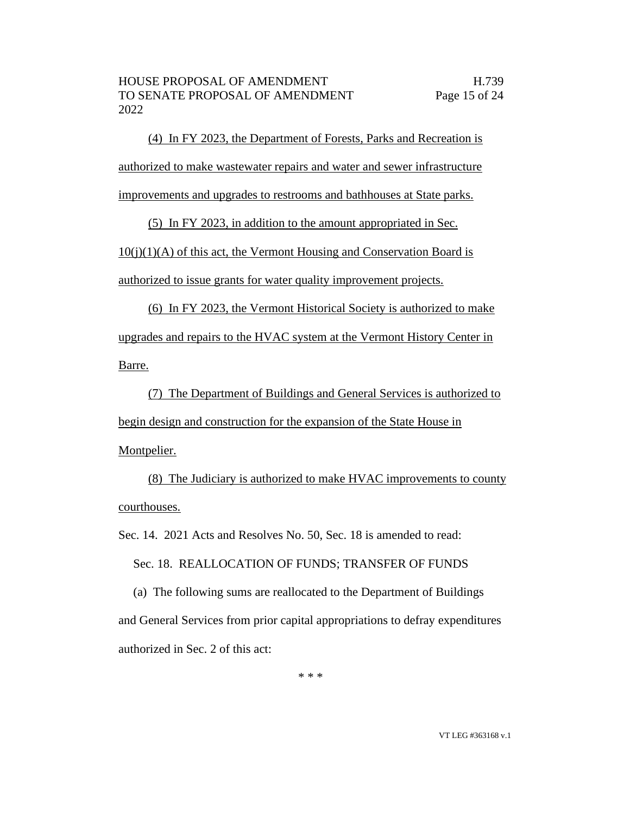(4) In FY 2023, the Department of Forests, Parks and Recreation is authorized to make wastewater repairs and water and sewer infrastructure improvements and upgrades to restrooms and bathhouses at State parks.

(5) In FY 2023, in addition to the amount appropriated in Sec.

 $10(i)(1)(A)$  of this act, the Vermont Housing and Conservation Board is authorized to issue grants for water quality improvement projects.

(6) In FY 2023, the Vermont Historical Society is authorized to make upgrades and repairs to the HVAC system at the Vermont History Center in Barre.

(7) The Department of Buildings and General Services is authorized to begin design and construction for the expansion of the State House in Montpelier.

(8) The Judiciary is authorized to make HVAC improvements to county courthouses.

Sec. 14. 2021 Acts and Resolves No. 50, Sec. 18 is amended to read:

Sec. 18. REALLOCATION OF FUNDS; TRANSFER OF FUNDS

(a) The following sums are reallocated to the Department of Buildings and General Services from prior capital appropriations to defray expenditures authorized in Sec. 2 of this act:

\* \* \*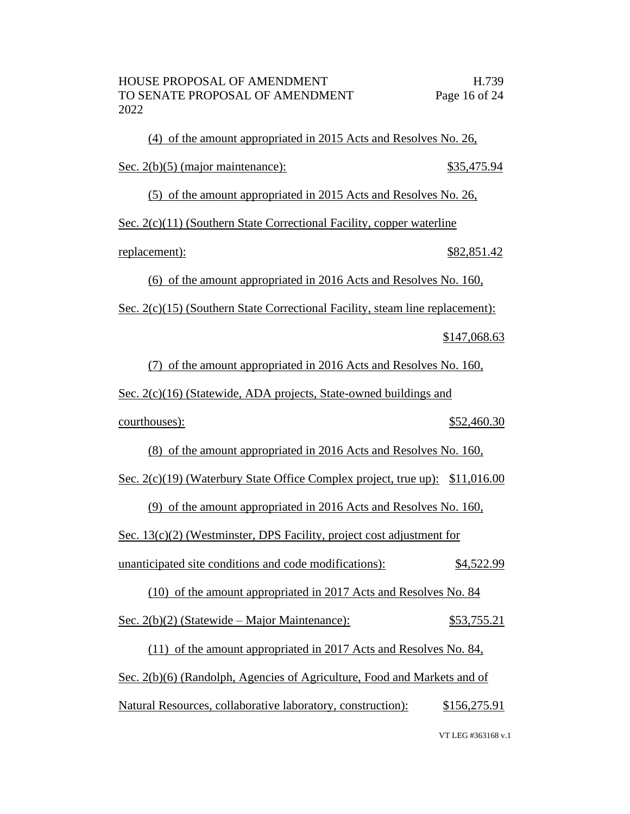(4) of the amount appropriated in 2015 Acts and Resolves No. 26, Sec. 2(b)(5) (major maintenance): \$35,475.94

(5) of the amount appropriated in 2015 Acts and Resolves No. 26,

Sec. 2(c)(11) (Southern State Correctional Facility, copper waterline

replacement): \$82,851.42

(6) of the amount appropriated in 2016 Acts and Resolves No. 160,

Sec. 2(c)(15) (Southern State Correctional Facility, steam line replacement):

\$147,068.63

(7) of the amount appropriated in 2016 Acts and Resolves No. 160,

Sec. 2(c)(16) (Statewide, ADA projects, State-owned buildings and

courthouses): \$52,460.30

(8) of the amount appropriated in 2016 Acts and Resolves No. 160,

Sec. 2(c)(19) (Waterbury State Office Complex project, true up): \$11,016.00

(9) of the amount appropriated in 2016 Acts and Resolves No. 160,

Sec. 13(c)(2) (Westminster, DPS Facility, project cost adjustment for

unanticipated site conditions and code modifications): \$4,522.99

(10) of the amount appropriated in 2017 Acts and Resolves No. 84

Sec. 2(b)(2) (Statewide – Major Maintenance): \$53,755.21

(11) of the amount appropriated in 2017 Acts and Resolves No. 84, Sec. 2(b)(6) (Randolph, Agencies of Agriculture, Food and Markets and of Natural Resources, collaborative laboratory, construction): \$156,275.91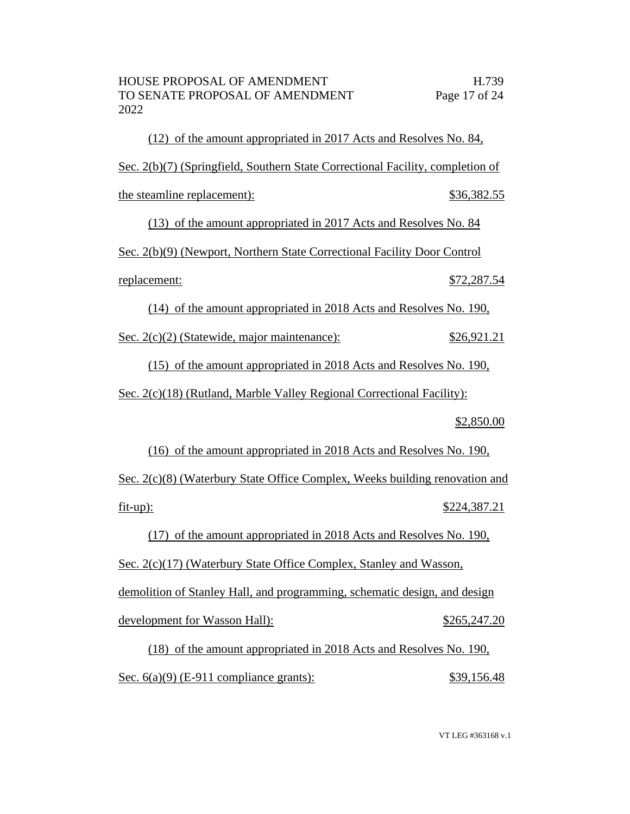(12) of the amount appropriated in 2017 Acts and Resolves No. 84, Sec. 2(b)(7) (Springfield, Southern State Correctional Facility, completion of the steamline replacement):  $$36,382.55$ 

(13) of the amount appropriated in 2017 Acts and Resolves No. 84

Sec. 2(b)(9) (Newport, Northern State Correctional Facility Door Control

replacement: \$72,287.54

(14) of the amount appropriated in 2018 Acts and Resolves No. 190,

Sec. 2(c)(2) (Statewide, major maintenance): \$26,921.21

(15) of the amount appropriated in 2018 Acts and Resolves No. 190,

Sec. 2(c)(18) (Rutland, Marble Valley Regional Correctional Facility):

\$2,850.00

(16) of the amount appropriated in 2018 Acts and Resolves No. 190, Sec. 2(c)(8) (Waterbury State Office Complex, Weeks building renovation and fit-up): \$224,387.21

(17) of the amount appropriated in 2018 Acts and Resolves No. 190,

Sec. 2(c)(17) (Waterbury State Office Complex, Stanley and Wasson, demolition of Stanley Hall, and programming, schematic design, and design development for Wasson Hall):  $$265,247.20$ 

(18) of the amount appropriated in 2018 Acts and Resolves No. 190, Sec. 6(a)(9) (E-911 compliance grants):  $$39,156.48$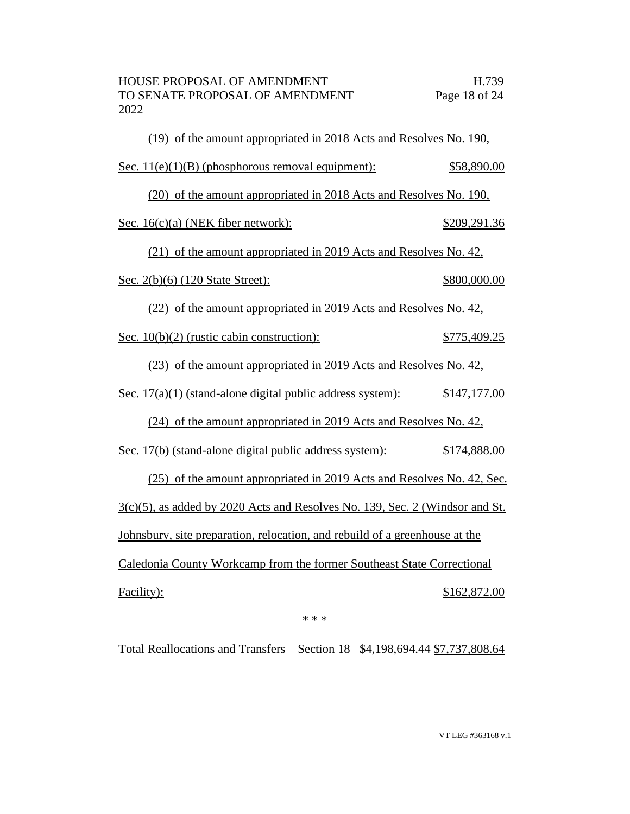| (19) of the amount appropriated in 2018 Acts and Resolves No. 190,              |              |
|---------------------------------------------------------------------------------|--------------|
| Sec. $11(e)(1)(B)$ (phosphorous removal equipment):                             | \$58,890.00  |
| (20) of the amount appropriated in 2018 Acts and Resolves No. 190,              |              |
| Sec. 16(c)(a) (NEK fiber network):                                              | \$209,291.36 |
| (21) of the amount appropriated in 2019 Acts and Resolves No. 42,               |              |
| Sec. 2(b)(6) (120 State Street):                                                | \$800,000.00 |
| (22) of the amount appropriated in 2019 Acts and Resolves No. 42,               |              |
| Sec. 10(b)(2) (rustic cabin construction):                                      | \$775,409.25 |
| (23) of the amount appropriated in 2019 Acts and Resolves No. 42,               |              |
| Sec. $17(a)(1)$ (stand-alone digital public address system):                    | \$147,177.00 |
| (24) of the amount appropriated in 2019 Acts and Resolves No. 42,               |              |
| Sec. 17(b) (stand-alone digital public address system):                         | \$174,888.00 |
| (25) of the amount appropriated in 2019 Acts and Resolves No. 42, Sec.          |              |
| $3(c)(5)$ , as added by 2020 Acts and Resolves No. 139, Sec. 2 (Windsor and St. |              |
| Johnsbury, site preparation, relocation, and rebuild of a greenhouse at the     |              |
| Caledonia County Workcamp from the former Southeast State Correctional          |              |
| Facility):                                                                      | \$162,872.00 |

\* \* \*

Total Reallocations and Transfers – Section 18 \$4,198,694.44 \$7,737,808.64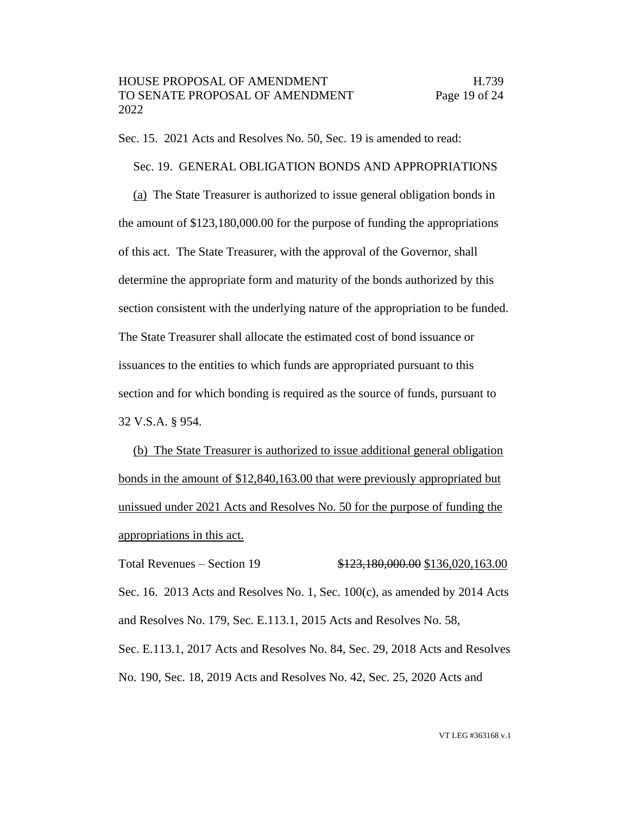Sec. 15. 2021 Acts and Resolves No. 50, Sec. 19 is amended to read:

Sec. 19. GENERAL OBLIGATION BONDS AND APPROPRIATIONS (a) The State Treasurer is authorized to issue general obligation bonds in the amount of \$123,180,000.00 for the purpose of funding the appropriations of this act. The State Treasurer, with the approval of the Governor, shall determine the appropriate form and maturity of the bonds authorized by this section consistent with the underlying nature of the appropriation to be funded. The State Treasurer shall allocate the estimated cost of bond issuance or issuances to the entities to which funds are appropriated pursuant to this section and for which bonding is required as the source of funds, pursuant to 32 V.S.A. § 954.

(b) The State Treasurer is authorized to issue additional general obligation bonds in the amount of \$12,840,163.00 that were previously appropriated but unissued under 2021 Acts and Resolves No. 50 for the purpose of funding the appropriations in this act.

Total Revenues – Section 19 \$123,180,000.00 \$136,020,163.00 Sec. 16. 2013 Acts and Resolves No. 1, Sec.  $100(c)$ , as amended by 2014 Acts and Resolves No. 179, Sec. E.113.1, 2015 Acts and Resolves No. 58, Sec. E.113.1, 2017 Acts and Resolves No. 84, Sec. 29, 2018 Acts and Resolves No. 190, Sec. 18, 2019 Acts and Resolves No. 42, Sec. 25, 2020 Acts and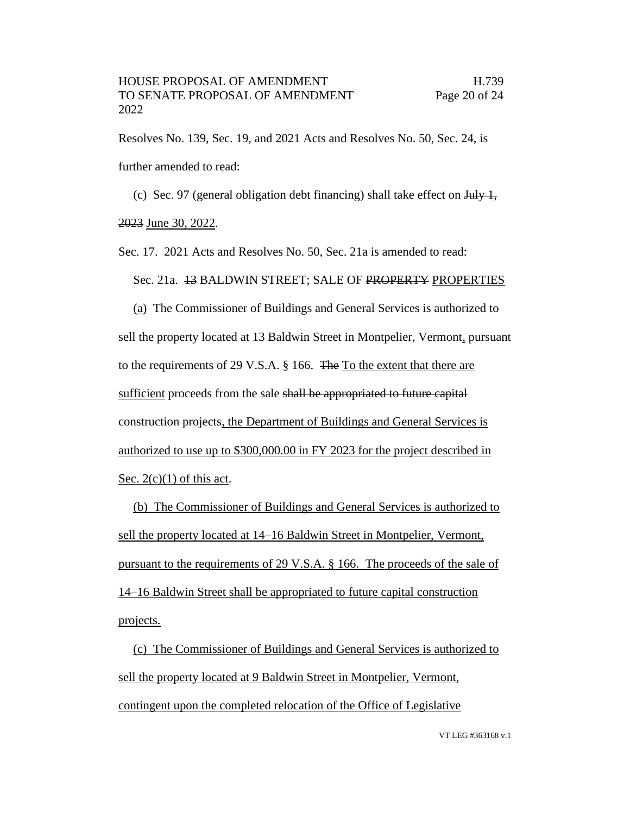Resolves No. 139, Sec. 19, and 2021 Acts and Resolves No. 50, Sec. 24, is further amended to read:

(c) Sec. 97 (general obligation debt financing) shall take effect on  $\frac{1 \text{H}_y}{1}$ ,

2023 June 30, 2022.

Sec. 17. 2021 Acts and Resolves No. 50, Sec. 21a is amended to read:

Sec. 21a. 13 BALDWIN STREET; SALE OF PROPERTY PROPERTIES

(a) The Commissioner of Buildings and General Services is authorized to sell the property located at 13 Baldwin Street in Montpelier, Vermont, pursuant to the requirements of 29 V.S.A. § 166. The To the extent that there are sufficient proceeds from the sale shall be appropriated to future capital construction projects, the Department of Buildings and General Services is authorized to use up to \$300,000.00 in FY 2023 for the project described in Sec.  $2(c)(1)$  of this act.

(b) The Commissioner of Buildings and General Services is authorized to sell the property located at 14–16 Baldwin Street in Montpelier, Vermont, pursuant to the requirements of 29 V.S.A. § 166. The proceeds of the sale of 14–16 Baldwin Street shall be appropriated to future capital construction projects.

(c) The Commissioner of Buildings and General Services is authorized to sell the property located at 9 Baldwin Street in Montpelier, Vermont, contingent upon the completed relocation of the Office of Legislative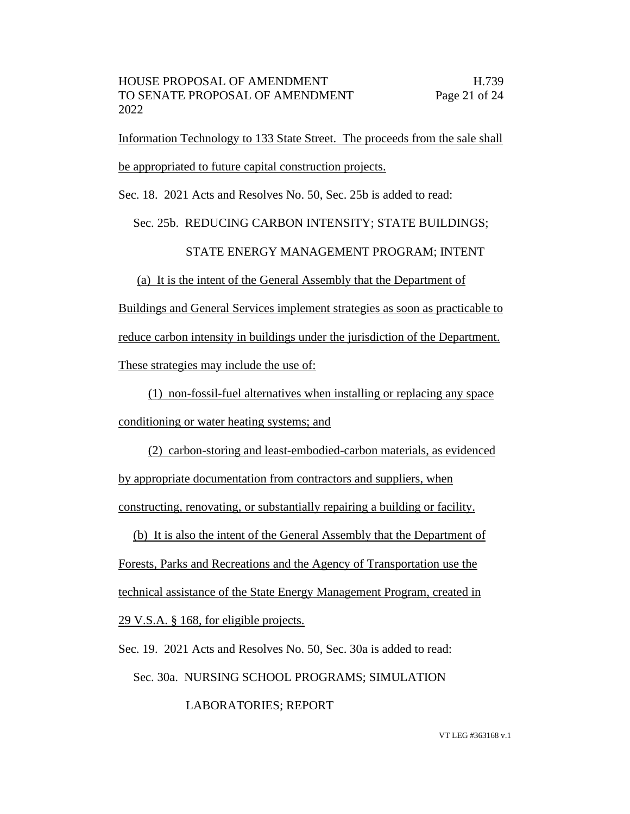Information Technology to 133 State Street. The proceeds from the sale shall be appropriated to future capital construction projects.

Sec. 18. 2021 Acts and Resolves No. 50, Sec. 25b is added to read:

## Sec. 25b. REDUCING CARBON INTENSITY; STATE BUILDINGS;

# STATE ENERGY MANAGEMENT PROGRAM; INTENT

(a) It is the intent of the General Assembly that the Department of

Buildings and General Services implement strategies as soon as practicable to reduce carbon intensity in buildings under the jurisdiction of the Department. These strategies may include the use of:

(1) non-fossil-fuel alternatives when installing or replacing any space conditioning or water heating systems; and

(2) carbon-storing and least-embodied-carbon materials, as evidenced by appropriate documentation from contractors and suppliers, when constructing, renovating, or substantially repairing a building or facility.

(b) It is also the intent of the General Assembly that the Department of Forests, Parks and Recreations and the Agency of Transportation use the technical assistance of the State Energy Management Program, created in 29 V.S.A. § 168, for eligible projects.

Sec. 19. 2021 Acts and Resolves No. 50, Sec. 30a is added to read:

Sec. 30a. NURSING SCHOOL PROGRAMS; SIMULATION

LABORATORIES; REPORT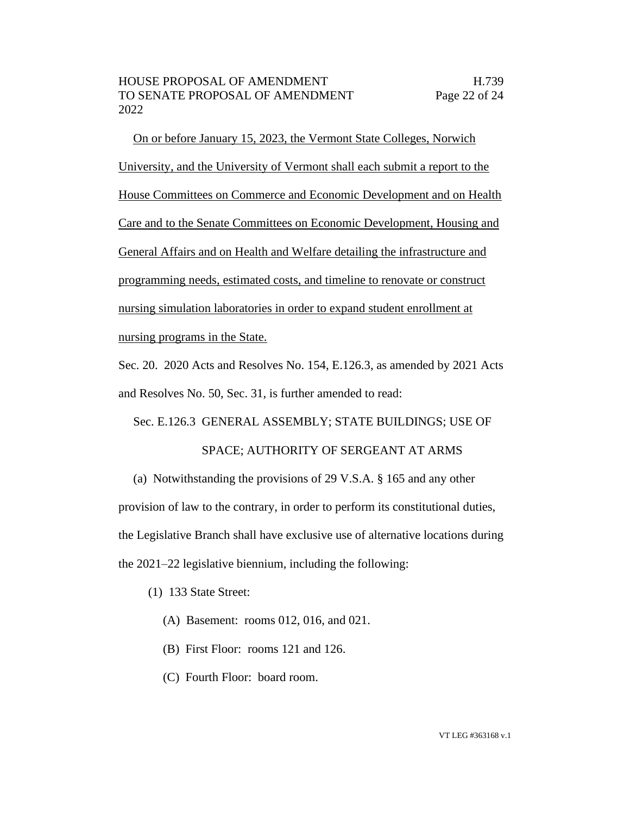On or before January 15, 2023, the Vermont State Colleges, Norwich University, and the University of Vermont shall each submit a report to the House Committees on Commerce and Economic Development and on Health Care and to the Senate Committees on Economic Development, Housing and General Affairs and on Health and Welfare detailing the infrastructure and programming needs, estimated costs, and timeline to renovate or construct nursing simulation laboratories in order to expand student enrollment at nursing programs in the State.

Sec. 20. 2020 Acts and Resolves No. 154, E.126.3, as amended by 2021 Acts and Resolves No. 50, Sec. 31, is further amended to read:

Sec. E.126.3 GENERAL ASSEMBLY; STATE BUILDINGS; USE OF

SPACE; AUTHORITY OF SERGEANT AT ARMS

(a) Notwithstanding the provisions of 29 V.S.A. § 165 and any other provision of law to the contrary, in order to perform its constitutional duties, the Legislative Branch shall have exclusive use of alternative locations during the 2021–22 legislative biennium, including the following:

- (1) 133 State Street:
	- (A) Basement: rooms 012, 016, and 021.
	- (B) First Floor: rooms 121 and 126.
	- (C) Fourth Floor: board room.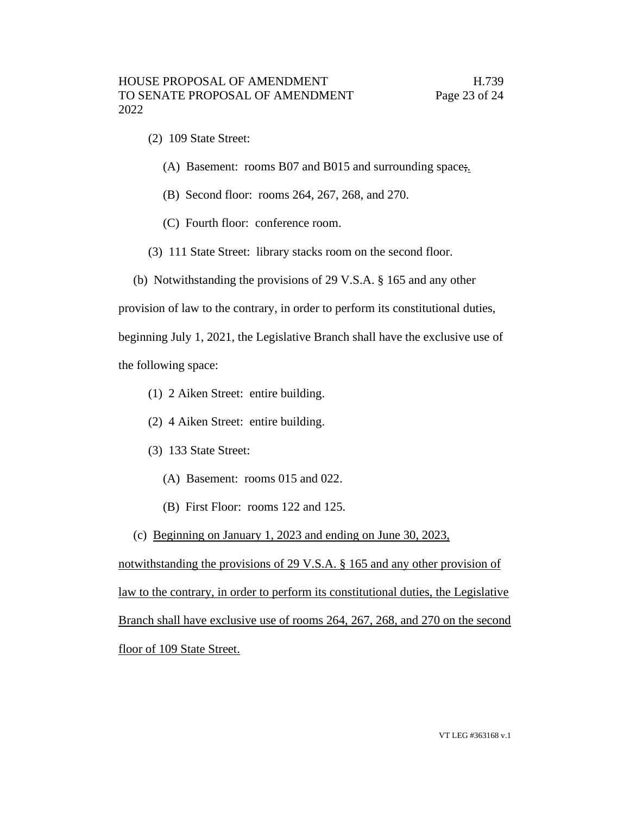- (2) 109 State Street:
	- (A) Basement: rooms B07 and B015 and surrounding space;.
	- (B) Second floor: rooms 264, 267, 268, and 270.
	- (C) Fourth floor: conference room.
- (3) 111 State Street: library stacks room on the second floor.
- (b) Notwithstanding the provisions of 29 V.S.A. § 165 and any other

provision of law to the contrary, in order to perform its constitutional duties,

beginning July 1, 2021, the Legislative Branch shall have the exclusive use of the following space:

- (1) 2 Aiken Street: entire building.
- (2) 4 Aiken Street: entire building.
- (3) 133 State Street:
	- (A) Basement: rooms 015 and 022.
	- (B) First Floor: rooms 122 and 125.
- (c) Beginning on January 1, 2023 and ending on June 30, 2023,

notwithstanding the provisions of 29 V.S.A. § 165 and any other provision of law to the contrary, in order to perform its constitutional duties, the Legislative Branch shall have exclusive use of rooms 264, 267, 268, and 270 on the second floor of 109 State Street.